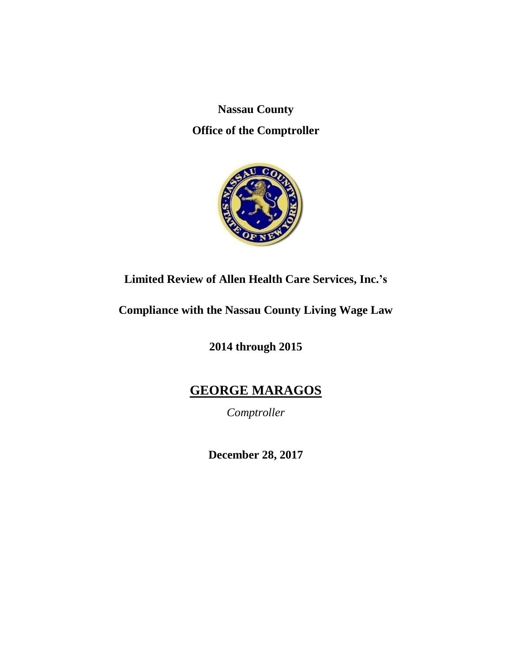**Nassau County Office of the Comptroller**



# **Limited Review of Allen Health Care Services, Inc.'s**

**Compliance with the Nassau County Living Wage Law**

**2014 through 2015**

# **GEORGE MARAGOS**

*Comptroller*

**December 28, 2017**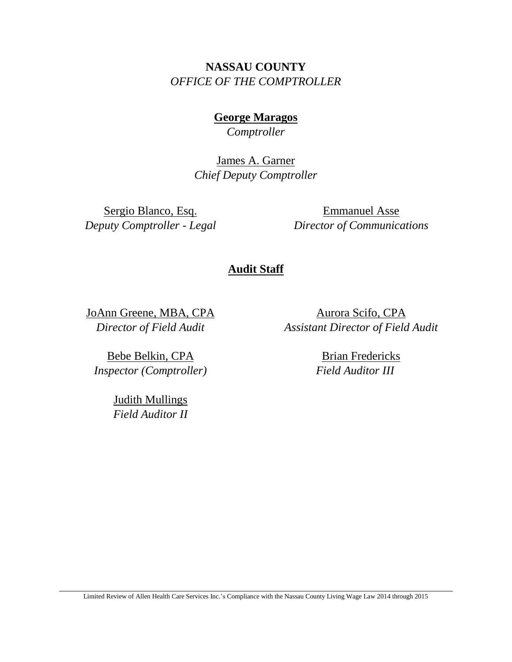**NASSAU COUNTY** *OFFICE OF THE COMPTROLLER*

> **George Maragos** *Comptroller*

James A. Garner *Chief Deputy Comptroller*

Sergio Blanco, Esq. *Deputy Comptroller - Legal*

Emmanuel Asse *Director of Communications*

# **Audit Staff**

JoAnn Greene, MBA, CPA *Director of Field Audit*

Bebe Belkin, CPA *Inspector (Comptroller)*

> Judith Mullings *Field Auditor II*

Aurora Scifo, CPA *Assistant Director of Field Audit*

> Brian Fredericks *Field Auditor III*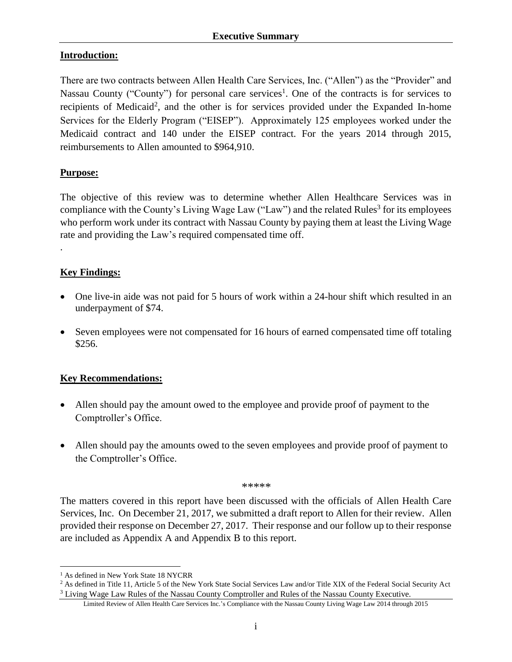# **Introduction:**

There are two contracts between Allen Health Care Services, Inc. ("Allen") as the "Provider" and Nassau County ("County") for personal care services<sup>1</sup>. One of the contracts is for services to recipients of Medicaid<sup>2</sup>, and the other is for services provided under the Expanded In-home Services for the Elderly Program ("EISEP"). Approximately 125 employees worked under the Medicaid contract and 140 under the EISEP contract. For the years 2014 through 2015, reimbursements to Allen amounted to \$964,910.

# **Purpose:**

.

 $\overline{a}$ 

The objective of this review was to determine whether Allen Healthcare Services was in compliance with the County's Living Wage Law ("Law") and the related Rules<sup>3</sup> for its employees who perform work under its contract with Nassau County by paying them at least the Living Wage rate and providing the Law's required compensated time off.

# **Key Findings:**

- One live-in aide was not paid for 5 hours of work within a 24-hour shift which resulted in an underpayment of \$74.
- Seven employees were not compensated for 16 hours of earned compensated time off totaling \$256.

### **Key Recommendations:**

- Allen should pay the amount owed to the employee and provide proof of payment to the Comptroller's Office.
- Allen should pay the amounts owed to the seven employees and provide proof of payment to the Comptroller's Office.

*\*\*\*\*\**

The matters covered in this report have been discussed with the officials of Allen Health Care Services, Inc. On December 21, 2017, we submitted a draft report to Allen for their review. Allen provided their response on December 27, 2017. Their response and our follow up to their response are included as Appendix A and Appendix B to this report.

<sup>&</sup>lt;sup>1</sup> As defined in New York State 18 NYCRR

<sup>&</sup>lt;sup>2</sup> As defined in Title 11, Article 5 of the New York State Social Services Law and/or Title XIX of the Federal Social Security Act <sup>3</sup> Living Wage Law Rules of the Nassau County Comptroller and Rules of the Nassau County Executive.

Limited Review of Allen Health Care Services Inc.'s Compliance with the Nassau County Living Wage Law 2014 through 2015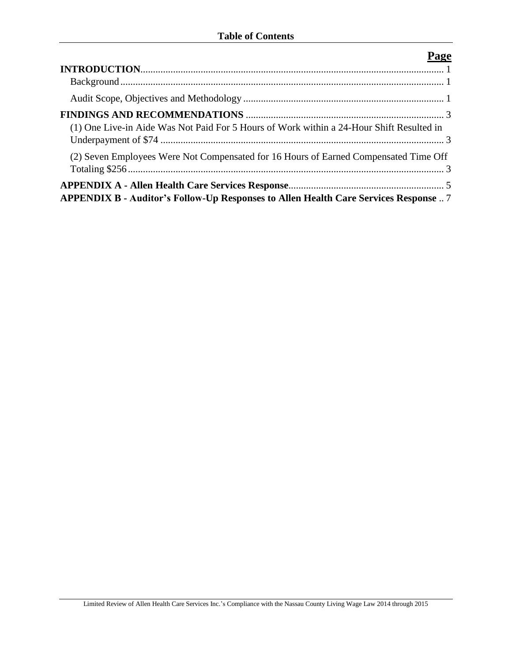| (1) One Live-in Aide Was Not Paid For 5 Hours of Work within a 24-Hour Shift Resulted in |
|------------------------------------------------------------------------------------------|
| (2) Seven Employees Were Not Compensated for 16 Hours of Earned Compensated Time Off     |
| APPENDIX B - Auditor's Follow-Up Responses to Allen Health Care Services Response  7     |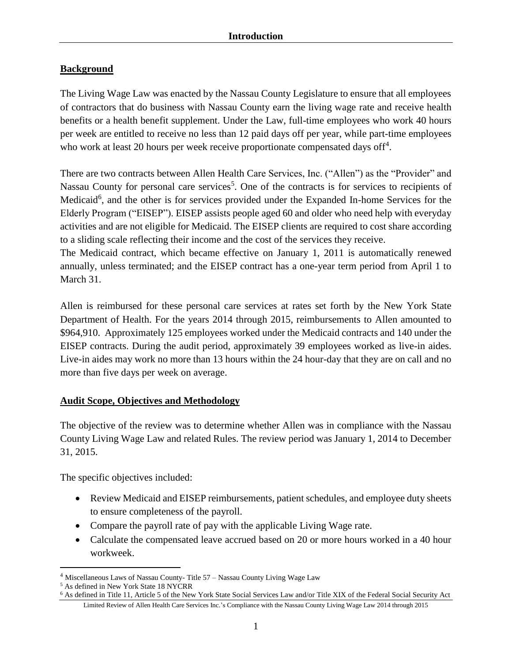# <span id="page-4-1"></span><span id="page-4-0"></span>**Background**

The Living Wage Law was enacted by the Nassau County Legislature to ensure that all employees of contractors that do business with Nassau County earn the living wage rate and receive health benefits or a health benefit supplement. Under the Law, full-time employees who work 40 hours per week are entitled to receive no less than 12 paid days off per year, while part-time employees who work at least 20 hours per week receive proportionate compensated days off<sup>4</sup>.

There are two contracts between Allen Health Care Services, Inc. ("Allen") as the "Provider" and Nassau County for personal care services<sup>5</sup>. One of the contracts is for services to recipients of Medicaid<sup>6</sup>, and the other is for services provided under the Expanded In-home Services for the Elderly Program ("EISEP"). EISEP assists people aged 60 and older who need help with everyday activities and are not eligible for Medicaid. The EISEP clients are required to cost share according to a sliding scale reflecting their income and the cost of the services they receive.

The Medicaid contract, which became effective on January 1, 2011 is automatically renewed annually, unless terminated; and the EISEP contract has a one-year term period from April 1 to March 31.

Allen is reimbursed for these personal care services at rates set forth by the New York State Department of Health. For the years 2014 through 2015, reimbursements to Allen amounted to \$964,910. Approximately 125 employees worked under the Medicaid contracts and 140 under the EISEP contracts. During the audit period, approximately 39 employees worked as live-in aides. Live-in aides may work no more than 13 hours within the 24 hour-day that they are on call and no more than five days per week on average.

# <span id="page-4-2"></span>**Audit Scope, Objectives and Methodology**

The objective of the review was to determine whether Allen was in compliance with the Nassau County Living Wage Law and related Rules. The review period was January 1, 2014 to December 31, 2015.

The specific objectives included:

- Review Medicaid and EISEP reimbursements, patient schedules, and employee duty sheets to ensure completeness of the payroll.
- Compare the payroll rate of pay with the applicable Living Wage rate.
- Calculate the compensated leave accrued based on 20 or more hours worked in a 40 hour workweek.

 $\overline{a}$ 

<sup>4</sup> Miscellaneous Laws of Nassau County- Title 57 – Nassau County Living Wage Law

<sup>5</sup> As defined in New York State 18 NYCRR

Limited Review of Allen Health Care Services Inc.'s Compliance with the Nassau County Living Wage Law 2014 through 2015 <sup>6</sup> As defined in Title 11, Article 5 of the New York State Social Services Law and/or Title XIX of the Federal Social Security Act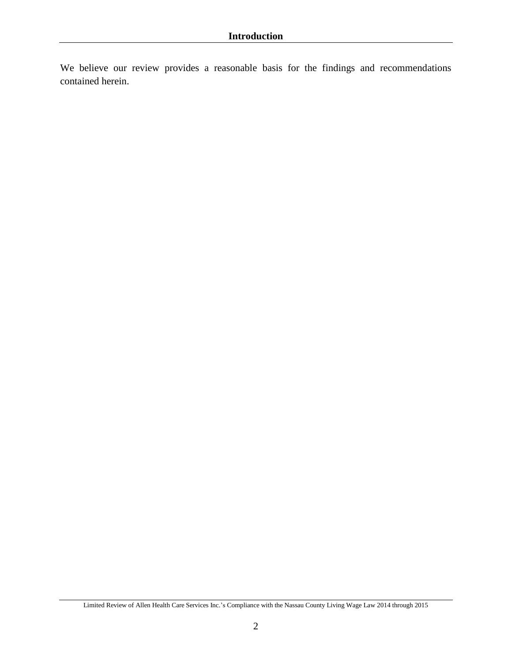We believe our review provides a reasonable basis for the findings and recommendations contained herein.

Limited Review of Allen Health Care Services Inc.'s Compliance with the Nassau County Living Wage Law 2014 through 2015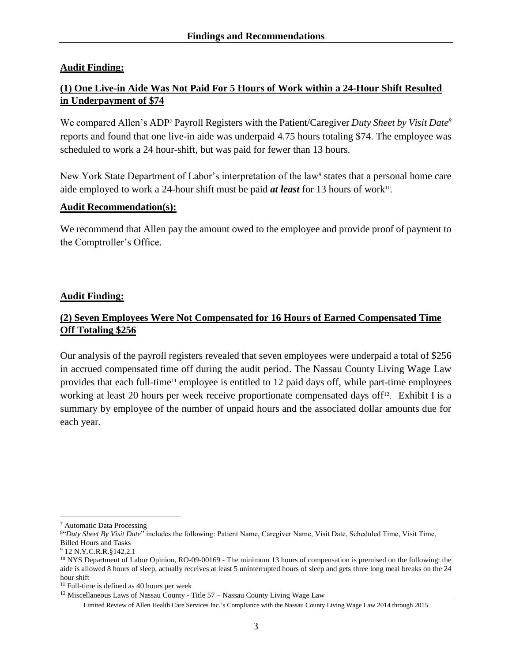### <span id="page-6-0"></span>**Audit Finding:**

# <span id="page-6-1"></span>**(1) One Live-in Aide Was Not Paid For 5 Hours of Work within a 24-Hour Shift Resulted in Underpayment of \$74**

We compared Allen's ADP<sup>7</sup> Payroll Registers with the Patient/Caregiver *Duty Sheet by Visit Date<sup>8</sup>* reports and found that one live-in aide was underpaid 4.75 hours totaling \$74. The employee was scheduled to work a 24 hour-shift, but was paid for fewer than 13 hours.

New York State Department of Labor's interpretation of the law<sup>9</sup> states that a personal home care aide employed to work a 24-hour shift must be paid *at least* for 13 hours of work<sup>10</sup>.

### **Audit Recommendation(s):**

We recommend that Allen pay the amount owed to the employee and provide proof of payment to the Comptroller's Office.

### **Audit Finding:**

# <span id="page-6-2"></span>**(2) Seven Employees Were Not Compensated for 16 Hours of Earned Compensated Time Off Totaling \$256**

Our analysis of the payroll registers revealed that seven employees were underpaid a total of \$256 in accrued compensated time off during the audit period. The Nassau County Living Wage Law provides that each full-time<sup>11</sup> employee is entitled to 12 paid days off, while part-time employees working at least 20 hours per week receive proportionate compensated days off<sup>12</sup>. Exhibit I is a summary by employee of the number of unpaid hours and the associated dollar amounts due for each year.

 $\overline{a}$ 

<sup>7</sup> Automatic Data Processing

<sup>&</sup>lt;sup>8"</sup>Duty Sheet By Visit Date" includes the following: Patient Name, Caregiver Name, Visit Date, Scheduled Time, Visit Time, Billed Hours and Tasks

<sup>9</sup> 12 N.Y.C.R.R.§142.2.1

<sup>&</sup>lt;sup>10</sup> NYS Department of Labor Opinion, RO-09-00169 - The minimum 13 hours of compensation is premised on the following: the aide is allowed 8 hours of sleep, actually receives at least 5 uninterrupted hours of sleep and gets three long meal breaks on the 24 hour shift

<sup>&</sup>lt;sup>11</sup> Full-time is defined as 40 hours per week

<sup>12</sup> Miscellaneous Laws of Nassau County - Title 57 – Nassau County Living Wage Law

Limited Review of Allen Health Care Services Inc.'s Compliance with the Nassau County Living Wage Law 2014 through 2015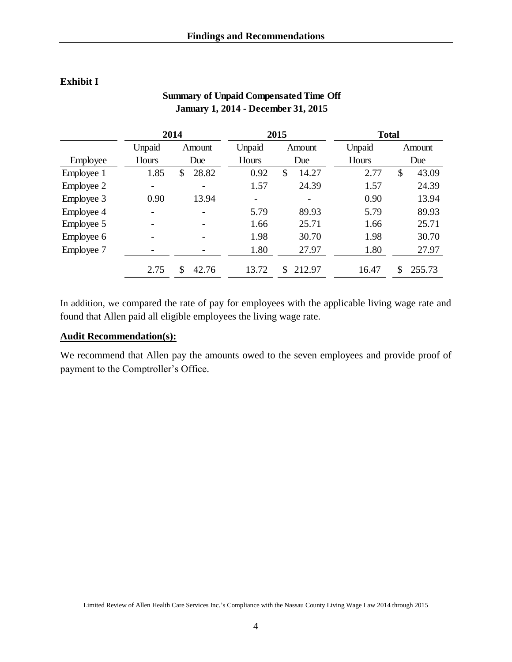# **Exhibit I**

|            | 2014   |             | 2015   |              | <b>Total</b> |              |
|------------|--------|-------------|--------|--------------|--------------|--------------|
|            | Unpaid | Amount      | Unpaid | Amount       | Unpaid       | Amount       |
| Employee   | Hours  | Due         | Hours  | Due          | Hours        | Due          |
| Employee 1 | 1.85   | 28.82<br>S  | 0.92   | 14.27<br>\$  | 2.77         | \$<br>43.09  |
| Employee 2 | -      |             | 1.57   | 24.39        | 1.57         | 24.39        |
| Employee 3 | 0.90   | 13.94       |        | -            | 0.90         | 13.94        |
| Employee 4 |        |             | 5.79   | 89.93        | 5.79         | 89.93        |
| Employee 5 |        |             | 1.66   | 25.71        | 1.66         | 25.71        |
| Employee 6 |        |             | 1.98   | 30.70        | 1.98         | 30.70        |
| Employee 7 |        |             | 1.80   | 27.97        | 1.80         | 27.97        |
|            | 2.75   | 42.76<br>\$ | 13.72  | 212.97<br>\$ | 16.47        | \$<br>255.73 |

# **Summary of Unpaid Compensated Time Off January 1, 2014 - December 31, 2015**

In addition, we compared the rate of pay for employees with the applicable living wage rate and found that Allen paid all eligible employees the living wage rate.

# **Audit Recommendation(s):**

We recommend that Allen pay the amounts owed to the seven employees and provide proof of payment to the Comptroller's Office.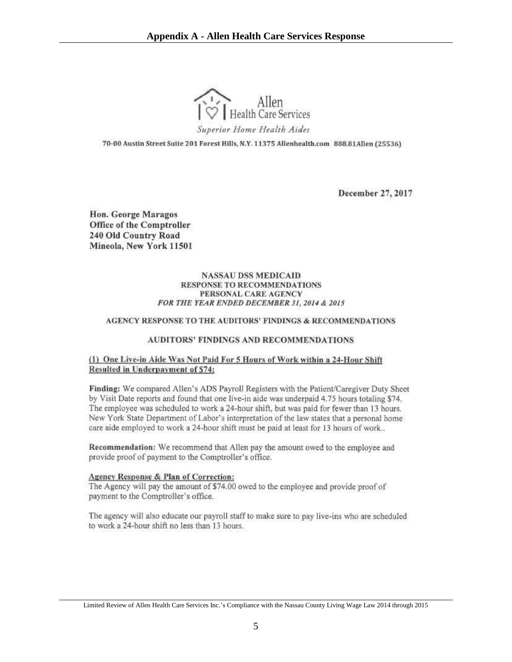

<span id="page-8-0"></span>70-00 Austin Street Suite 201 Forest Hills, N.Y. 11375 Allenhealth.com 888.81Allen (25536)

December 27, 2017

Hon. George Maragos **Office of the Comptroller** 240 Old Country Road Mineola, New York 11501

#### **NASSAU DSS MEDICAID RESPONSE TO RECOMMENDATIONS** PERSONAL CARE AGENCY FOR THE YEAR ENDED DECEMBER 31, 2014 & 2015

#### AGENCY RESPONSE TO THE AUDITORS' FINDINGS & RECOMMENDATIONS

#### **AUDITORS' FINDINGS AND RECOMMENDATIONS**

#### (1) One Live-in Aide Was Not Paid For 5 Hours of Work within a 24-Hour Shift Resulted in Underpayment of \$74:

Finding: We compared Allen's ADS Payroll Registers with the Patient/Caregiver Duty Sheet by Visit Date reports and found that one live-in aide was underpaid 4.75 hours totaling \$74. The employee was scheduled to work a 24-hour shift, but was paid for fewer than 13 hours. New York State Department of Labor's interpretation of the law states that a personal home care aide employed to work a 24-hour shift must be paid at least for 13 hours of work..

Recommendation: We recommend that Allen pay the amount owed to the employee and provide proof of payment to the Comptroller's office.

#### Agency Response & Plan of Correction:

The Agency will pay the amount of \$74,00 owed to the employee and provide proof of payment to the Comptroller's office.

The agency will also educate our payroll staff to make sure to pay live-ins who are scheduled to work a 24-hour shift no less than 13 hours.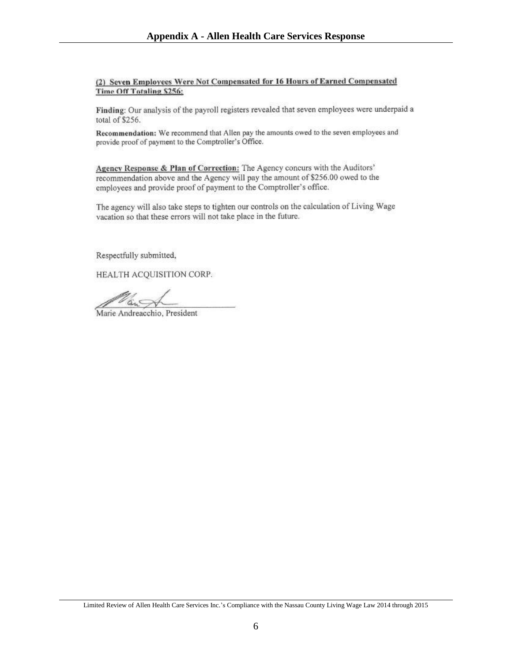#### (2) Seven Employees Were Not Compensated for 16 Hours of Earned Compensated **Time Off Totaling \$256:**

Finding: Our analysis of the payroll registers revealed that seven employees were underpaid a total of \$256.

Recommendation: We recommend that Allen pay the amounts owed to the seven employees and provide proof of payment to the Comptroller's Office.

Agency Response & Plan of Correction: The Agency concurs with the Auditors' recommendation above and the Agency will pay the amount of \$256.00 owed to the employees and provide proof of payment to the Comptroller's office.

The agency will also take steps to tighten our controls on the calculation of Living Wage vacation so that these errors will not take place in the future.

Respectfully submitted,

HEALTH ACQUISITION CORP.

Marie Andreacchio, President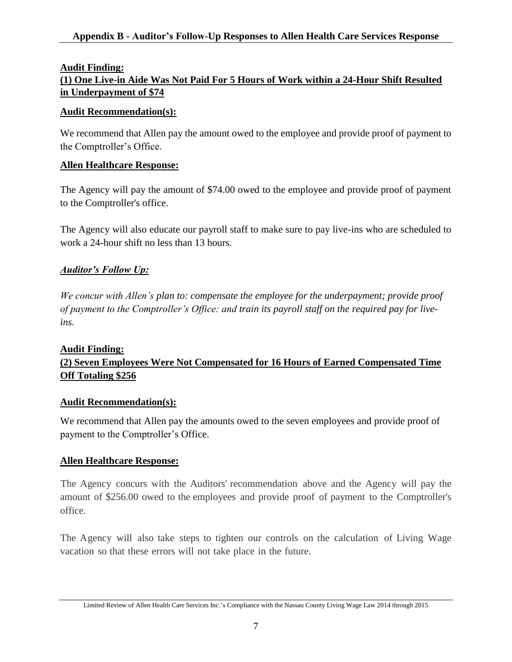# <span id="page-10-0"></span>**Audit Finding: (1) One Live-in Aide Was Not Paid For 5 Hours of Work within a 24-Hour Shift Resulted in Underpayment of \$74**

### **Audit Recommendation(s):**

We recommend that Allen pay the amount owed to the employee and provide proof of payment to the Comptroller's Office.

# **Allen Healthcare Response:**

The Agency will pay the amount of \$74.00 owed to the employee and provide proof of payment to the Comptroller's office.

The Agency will also educate our payroll staff to make sure to pay live-ins who are scheduled to work a 24-hour shift no less than 13 hours.

# *Auditor's Follow Up:*

*We concur with Allen's plan to: compensate the employee for the underpayment; provide proof of payment to the Comptroller's Office: and train its payroll staff on the required pay for liveins.* 

### **Audit Finding:**

# **(2) Seven Employees Were Not Compensated for 16 Hours of Earned Compensated Time Off Totaling \$256**

# **Audit Recommendation(s):**

We recommend that Allen pay the amounts owed to the seven employees and provide proof of payment to the Comptroller's Office.

# **Allen Healthcare Response:**

The Agency concurs with the Auditors' recommendation above and the Agency will pay the amount of \$256.00 owed to the employees and provide proof of payment to the Comptroller's office.

The Agency will also take steps to tighten our controls on the calculation of Living Wage vacation so that these errors will not take place in the future.

Limited Review of Allen Health Care Services Inc.'s Compliance with the Nassau County Living Wage Law 2014 through 2015